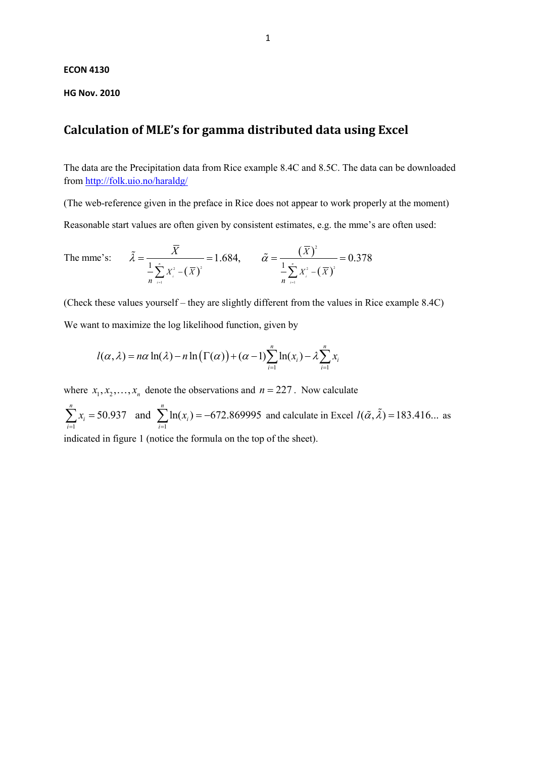## **ECON 4130**

**HG Nov. 2010**

## **Calculation of MLE's for gamma distributed data using Excel**

The data are the Precipitation data from Rice example 8.4C and 8.5C. The data can be downloaded from<http://folk.uio.no/haraldg/>

(The web-reference given in the preface in Rice does not appear to work properly at the moment)

Reasonable start values are often given by consistent estimates, e.g. the mme's are often used:

The mme's: 
$$
\tilde{\lambda} = \frac{\overline{X}}{\frac{1}{n} \sum_{i=1}^{n} X_i^2 - (\overline{X})^2} = 1.684, \qquad \tilde{\alpha} = \frac{(\overline{X})^2}{\frac{1}{n} \sum_{i=1}^{n} X_i^2 - (\overline{X})^2} = 0.378
$$

(Check these values yourself – they are slightly different from the values in Rice example 8.4C)

We want to maximize the log likelihood function, given by

$$
l(\alpha, \lambda) = n\alpha \ln(\lambda) - n \ln(\Gamma(\alpha)) + (\alpha - 1) \sum_{i=1}^{n} \ln(x_i) - \lambda \sum_{i=1}^{n} x_i
$$

where  $x_1, x_2, ..., x_n$  denote the observations and  $n = 227$ . Now calculate

 $i=1$ 50.937 and  $\sum ln(x_i) = -672.869995$ *n n*  $i = 50.557$  and  $\sum m(x_i)$ *i* =1 *i*  $x_i = 50.937$  and  $\sum \ln(x_i)$  $\sum_{i=1} x_i = 50.937$  and  $\sum_{i=1} \ln(x_i) = -672.869995$  and calculate in Excel  $l(\tilde{\alpha}, \tilde{\lambda}) = 183.416...$  as

indicated in figure 1 (notice the formula on the top of the sheet).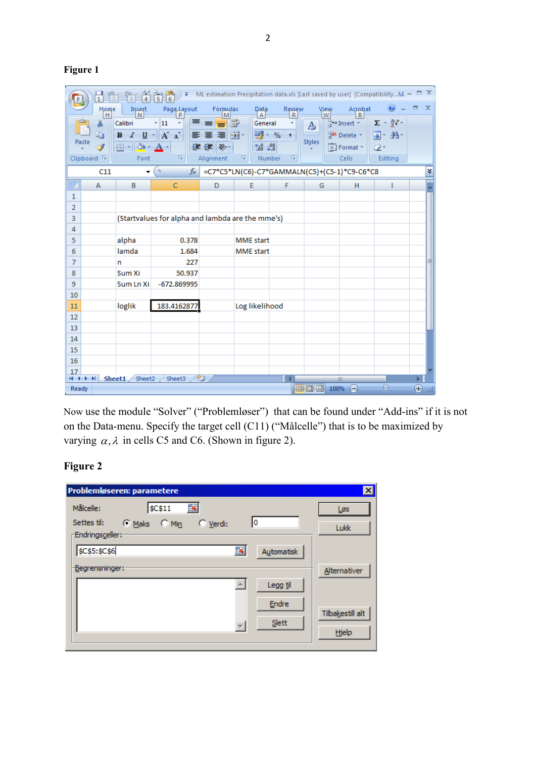**Figure 1**

| ML estimation Precipitation data.xls [Last saved by user] [CompatibilityM. $ \Box$ X<br>青<br>₹<br>$\frac{1}{6}$<br>$\overline{4}$ |                        |                                                  |                                |                      |                        |                        |               |                               |                                       |                        |
|-----------------------------------------------------------------------------------------------------------------------------------|------------------------|--------------------------------------------------|--------------------------------|----------------------|------------------------|------------------------|---------------|-------------------------------|---------------------------------------|------------------------|
|                                                                                                                                   | Home<br>H              | Insert<br>N                                      | Page Layout                    | <b>Formulas</b><br>м | Data<br>$\overline{A}$ | Review<br>$\mathsf{R}$ | View<br>W     | Acrobat<br>В                  | 0                                     | $\Box$<br>$\mathbf{x}$ |
|                                                                                                                                   | Ж                      | Calibri                                          | 丰<br>11<br>÷<br>÷              | $\equiv$<br>$\equiv$ | b<br>General           |                        | A             | $\frac{1}{2}$ = Insert $\tau$ | $\Sigma$ + $\frac{A}{Z}$ <sup>*</sup> |                        |
|                                                                                                                                   | æ<br>Paste             | $\boldsymbol{I}$<br>U<br>B                       | $A^{\dagger} A^{\dagger}$<br>圖 | ≣ 團∼<br>喜            |                        | $\frac{1}{2}$ - %<br>٠ | <b>Styles</b> | Delete *                      | 画+ 船+                                 |                        |
|                                                                                                                                   | I                      | $\mathbb{H}$ - $\mathbb{R}$ -                    |                                | €≣ €≣∥ ≫,∽           | $3.4^{+0.0}_{-0.00}$   |                        |               | Format *                      | 0-                                    |                        |
|                                                                                                                                   | Clipboard <sup>5</sup> | Font                                             | 履                              | Alignment            | 局                      | Number<br>局            |               | Cells                         | Editing                               |                        |
| $\circ$<br>=C7*C5*LN(C6)-C7*GAMMALN(C5)+(C5-1)*C9-C6*C8<br>$f_x$<br>¥<br>C11<br>▼                                                 |                        |                                                  |                                |                      |                        |                        |               |                               |                                       |                        |
|                                                                                                                                   | A                      | B                                                | $\mathsf{C}$                   | D                    | E                      | F                      | G             | н                             | ı                                     |                        |
| 1                                                                                                                                 |                        |                                                  |                                |                      |                        |                        |               |                               |                                       |                        |
| $\overline{2}$                                                                                                                    |                        |                                                  |                                |                      |                        |                        |               |                               |                                       |                        |
| 3                                                                                                                                 |                        | (Startvalues for alpha and lambda are the mme's) |                                |                      |                        |                        |               |                               |                                       |                        |
| 4                                                                                                                                 |                        |                                                  |                                |                      |                        |                        |               |                               |                                       |                        |
| 5                                                                                                                                 |                        | alpha                                            | 0.378                          |                      | <b>MME</b> start       |                        |               |                               |                                       |                        |
| 6                                                                                                                                 |                        | lamda                                            | 1.684                          |                      | <b>MME</b> start       |                        |               |                               |                                       |                        |
| 7                                                                                                                                 |                        | n                                                | 227                            |                      |                        |                        |               |                               |                                       |                        |
| 8                                                                                                                                 |                        | Sum Xi                                           | 50.937                         |                      |                        |                        |               |                               |                                       |                        |
| 9                                                                                                                                 |                        | Sum Ln Xi                                        | $-672.869995$                  |                      |                        |                        |               |                               |                                       |                        |
| 10                                                                                                                                |                        |                                                  |                                |                      |                        |                        |               |                               |                                       |                        |
| 11                                                                                                                                |                        | loglik                                           | 183.4162877                    |                      | Log likelihood         |                        |               |                               |                                       |                        |
| 12                                                                                                                                |                        |                                                  |                                |                      |                        |                        |               |                               |                                       |                        |
| 13                                                                                                                                |                        |                                                  |                                |                      |                        |                        |               |                               |                                       |                        |
| 14                                                                                                                                |                        |                                                  |                                |                      |                        |                        |               |                               |                                       |                        |
| 15                                                                                                                                |                        |                                                  |                                |                      |                        |                        |               |                               |                                       |                        |
| 16                                                                                                                                |                        |                                                  |                                |                      |                        |                        |               |                               |                                       |                        |
| 17<br>$H \dashv F$                                                                                                                | Ħ                      | Sheet1<br>Sheet2                                 | Sheet3                         | ℃⊒                   |                        | п                      |               | III                           |                                       | Ы                      |
| 田回凹<br>o<br>⊕<br>100%<br>Ready<br>$\left( =\right)$                                                                               |                        |                                                  |                                |                      |                        |                        |               |                               |                                       |                        |

Now use the module "Solver" ("Problemløser") that can be found under "Add-ins" if it is not on the Data-menu. Specify the target cell (C11) ("Målcelle") that is to be maximized by varying  $\alpha$ ,  $\lambda$  in cells C5 and C6. (Shown in figure 2).

## **Figure 2**

| Problemløseren: parametere                                                                      | $\vert x \vert$  |
|-------------------------------------------------------------------------------------------------|------------------|
| 露<br><b>\$C\$11</b><br>Målcelle:<br>0<br>Settes til:<br>$C$ Min<br>$\subseteq$ Maks<br>C Verdi: | Løs              |
| Endringsceller:                                                                                 | Lukk             |
| 露<br>\$C\$5:\$C\$6<br>Automatisk                                                                |                  |
| Begrensninger:                                                                                  | Alternativer     |
| Legg til                                                                                        |                  |
| Endre                                                                                           | Tilbakestill alt |
| Slett<br>$\overline{\phantom{a}}$                                                               | Hjelp            |
|                                                                                                 |                  |